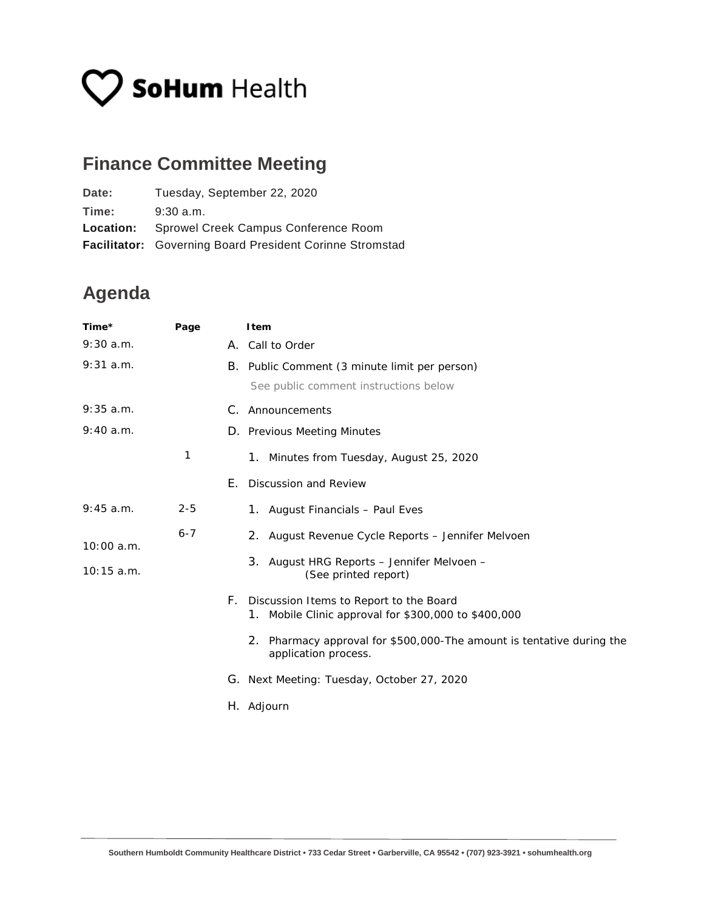## **V SoHum** Health

## **Finance Committee Meeting**

| Date:            | Tuesday, September 22, 2020                                     |
|------------------|-----------------------------------------------------------------|
| Time:            | $9:30$ a.m.                                                     |
| <b>Location:</b> | Sprowel Creek Campus Conference Room                            |
|                  | <b>Facilitator:</b> Governing Board President Corinne Stromstad |

## **Agenda**

| Time*        | Page    |    | Item                                                                                            |
|--------------|---------|----|-------------------------------------------------------------------------------------------------|
| 9:30 a.m.    |         |    | A. Call to Order                                                                                |
| 9:31 a.m.    |         |    | B. Public Comment (3 minute limit per person)                                                   |
|              |         |    | See public comment instructions below                                                           |
| 9:35 a.m.    |         | C. | Announcements                                                                                   |
| 9:40 a.m.    |         |    | D. Previous Meeting Minutes                                                                     |
|              | 1       |    | 1. Minutes from Tuesday, August 25, 2020                                                        |
|              |         | Е. | Discussion and Review                                                                           |
| 9:45 a.m.    | $2 - 5$ |    | 1. August Financials - Paul Eves                                                                |
| 10:00 a.m.   | $6 - 7$ |    | 2. August Revenue Cycle Reports – Jennifer Melvoen                                              |
| $10:15$ a.m. |         |    | 3. August HRG Reports - Jennifer Melvoen -<br>(See printed report)                              |
|              |         | F. | Discussion Items to Report to the Board<br>1. Mobile Clinic approval for \$300,000 to \$400,000 |
|              |         |    | 2. Pharmacy approval for \$500,000-The amount is tentative during the<br>application process.   |
|              |         |    | G. Next Meeting: Tuesday, October 27, 2020                                                      |
|              |         |    | H. Adjourn                                                                                      |